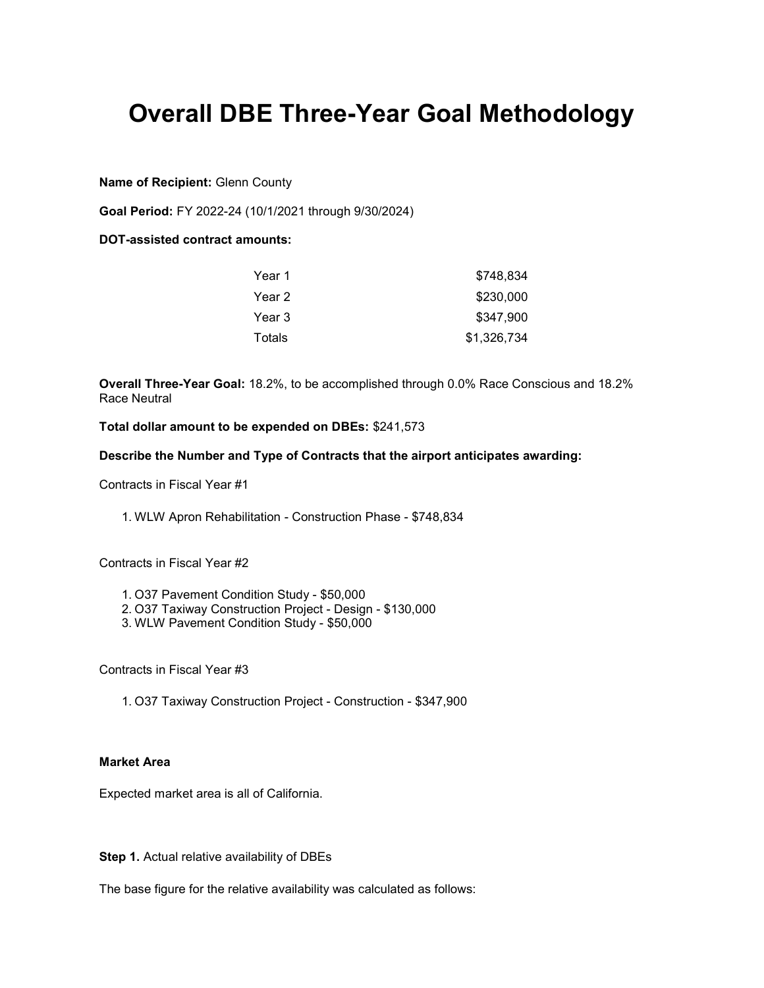# Overall DBE Three-Year Goal Methodology

Name of Recipient: Glenn County

Goal Period: FY 2022-24 (10/1/2021 through 9/30/2024)

DOT-assisted contract amounts:

| Year 1 | \$748.834   |
|--------|-------------|
| Year 2 | \$230,000   |
| Year 3 | \$347,900   |
| Totals | \$1,326,734 |

Overall Three-Year Goal: 18.2%, to be accomplished through 0.0% Race Conscious and 18.2% Race Neutral

Total dollar amount to be expended on DBEs: \$241,573

Describe the Number and Type of Contracts that the airport anticipates awarding:

Contracts in Fiscal Year #1

1. WLW Apron Rehabilitation - Construction Phase - \$748,834

Contracts in Fiscal Year #2

- 1. O37 Pavement Condition Study \$50,000
- 2. O37 Taxiway Construction Project Design \$130,000
- 3. WLW Pavement Condition Study \$50,000

Contracts in Fiscal Year #3

1. O37 Taxiway Construction Project - Construction - \$347,900

#### Market Area

Expected market area is all of California.

Step 1. Actual relative availability of DBEs

The base figure for the relative availability was calculated as follows: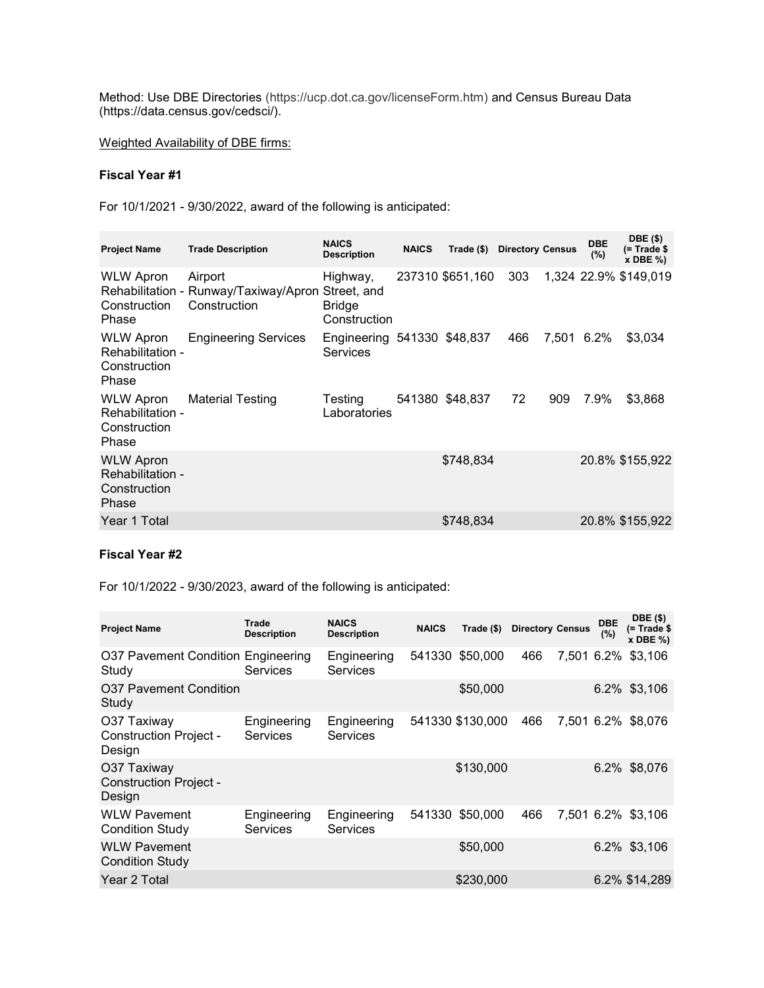Method: Use DBE Directories (https://ucp.dot.ca.gov/licenseForm.htm) and Census Bureau Data (https://data.census.gov/cedsci/).

Weighted Availability of DBE firms:

### Fiscal Year #1

For 10/1/2021 - 9/30/2022, award of the following is anticipated:

| <b>Project Name</b>                                           | <b>Trade Description</b>                                                     | <b>NAICS</b><br><b>Description</b>             | <b>NAICS</b> | Trade $(\$)$     | <b>Directory Census</b> |            | <b>DBE</b><br>(%) | <b>DBE</b> (\$)<br>$(= Trace$<br>$x$ DBE $\%$ ) |
|---------------------------------------------------------------|------------------------------------------------------------------------------|------------------------------------------------|--------------|------------------|-------------------------|------------|-------------------|-------------------------------------------------|
| <b>WLW Apron</b><br>Construction<br>Phase                     | Airport<br>Rehabilitation - Runway/Taxiway/Apron Street, and<br>Construction | Highway,<br><b>Bridge</b><br>Construction      |              | 237310 \$651,160 | 303                     |            |                   | 1,324 22.9% \$149,019                           |
| <b>WLW Apron</b><br>Rehabilitation -<br>Construction<br>Phase | <b>Engineering Services</b>                                                  | Engineering 541330 \$48,837<br><b>Services</b> |              |                  | 466                     | 7.501 6.2% |                   | \$3,034                                         |
| <b>WLW Apron</b><br>Rehabilitation -<br>Construction<br>Phase | <b>Material Testing</b>                                                      | Testing<br>Laboratories                        |              | 541380 \$48,837  | 72                      | 909        | 7.9%              | \$3,868                                         |
| <b>WLW Apron</b><br>Rehabilitation -<br>Construction<br>Phase |                                                                              |                                                |              | \$748,834        |                         |            |                   | 20.8% \$155,922                                 |
| Year 1 Total                                                  |                                                                              |                                                |              | \$748,834        |                         |            |                   | 20.8% \$155,922                                 |

#### Fiscal Year #2

For 10/1/2022 - 9/30/2023, award of the following is anticipated:

| <b>Project Name</b>                                    | Trade<br><b>Description</b>    | <b>NAICS</b><br><b>Description</b> | <b>NAICS</b> | Trade $($)$      | <b>Directory Census</b> |            | <b>DBE</b><br>(%) | <b>DBE</b> (\$)<br>(= Trade \$<br>$x$ DBE $\%$ ) |
|--------------------------------------------------------|--------------------------------|------------------------------------|--------------|------------------|-------------------------|------------|-------------------|--------------------------------------------------|
| O37 Pavement Condition Engineering<br>Study            | Services                       | Engineering<br><b>Services</b>     | 541330       | \$50,000         | 466                     | 7.501 6.2% |                   | \$3,106                                          |
| O37 Pavement Condition<br>Study                        |                                |                                    |              | \$50,000         |                         |            |                   | 6.2% \$3,106                                     |
| O37 Taxiway<br><b>Construction Project -</b><br>Design | Engineering<br>Services        | Engineering<br>Services            |              | 541330 \$130,000 | 466                     | 7.501 6.2% |                   | \$8,076                                          |
| O37 Taxiway<br><b>Construction Project -</b><br>Design |                                |                                    |              | \$130,000        |                         |            |                   | 6.2% \$8,076                                     |
| <b>WLW Pavement</b><br><b>Condition Study</b>          | Engineering<br><b>Services</b> | Engineering<br>Services            | 541330       | \$50,000         | 466                     |            |                   | 7,501 6.2% \$3,106                               |
| <b>WLW Pavement</b><br><b>Condition Study</b>          |                                |                                    |              | \$50,000         |                         |            |                   | 6.2% \$3,106                                     |
| Year 2 Total                                           |                                |                                    |              | \$230,000        |                         |            |                   | 6.2% \$14,289                                    |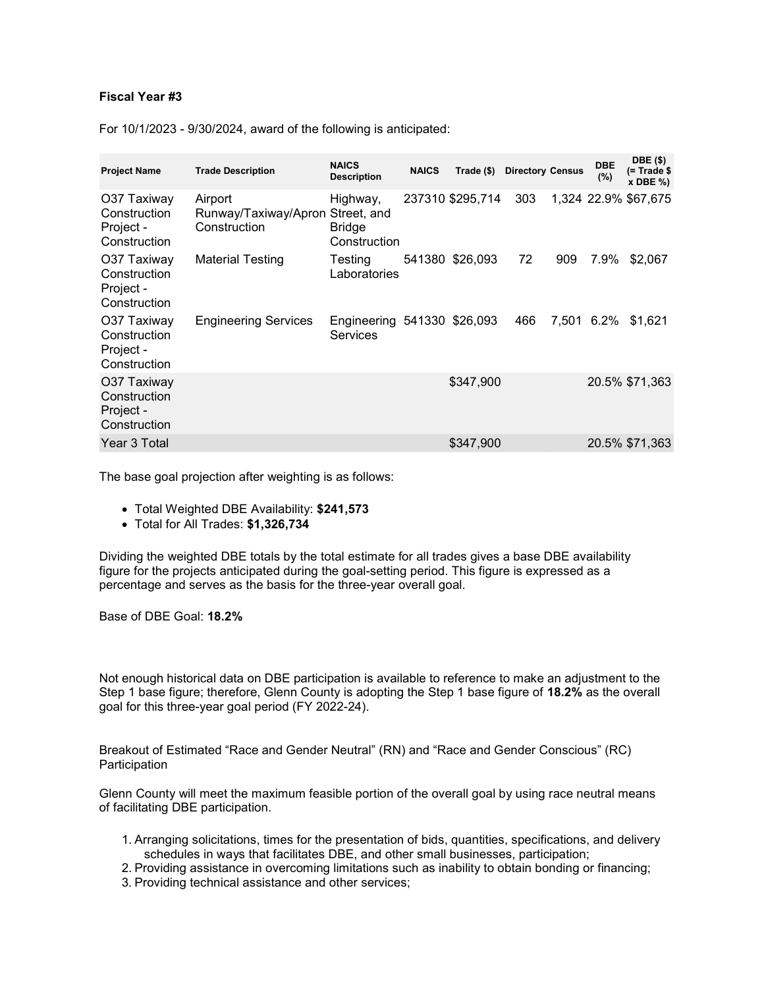#### Fiscal Year #3

For 10/1/2023 - 9/30/2024, award of the following is anticipated:

| <b>Project Name</b>                                      | <b>Trade Description</b>                                    | <b>NAICS</b><br><b>Description</b>      | <b>NAICS</b> | Trade (\$)       | <b>Directory Census</b> |     | <b>DBE</b><br>(%) | <b>DBE</b> (\$)<br>$($ = Trade \$<br>$x$ DBE $\%$ ) |
|----------------------------------------------------------|-------------------------------------------------------------|-----------------------------------------|--------------|------------------|-------------------------|-----|-------------------|-----------------------------------------------------|
| O37 Taxiway<br>Construction<br>Project -<br>Construction | Airport<br>Runway/Taxiway/Apron Street, and<br>Construction | Highway,<br>Bridge<br>Construction      |              | 237310 \$295,714 | 303                     |     |                   | 1,324 22.9% \$67,675                                |
| O37 Taxiway<br>Construction<br>Project -<br>Construction | Material Testing                                            | Testing<br>Laboratories                 |              | 541380 \$26,093  | 72                      | 909 | 7.9%              | \$2,067                                             |
| O37 Taxiway<br>Construction<br>Project -<br>Construction | <b>Engineering Services</b>                                 | Engineering 541330 \$26,093<br>Services |              |                  | 466                     |     | 7.501 6.2%        | \$1,621                                             |
| O37 Taxiway<br>Construction<br>Project -<br>Construction |                                                             |                                         |              | \$347.900        |                         |     |                   | 20.5% \$71,363                                      |
| Year 3 Total                                             |                                                             |                                         |              | \$347,900        |                         |     |                   | 20.5% \$71,363                                      |

The base goal projection after weighting is as follows:

- Total Weighted DBE Availability: \$241,573
- Total for All Trades: \$1,326,734

Dividing the weighted DBE totals by the total estimate for all trades gives a base DBE availability figure for the projects anticipated during the goal-setting period. This figure is expressed as a percentage and serves as the basis for the three-year overall goal.

Base of DBE Goal: 18.2%

Not enough historical data on DBE participation is available to reference to make an adjustment to the Step 1 base figure; therefore, Glenn County is adopting the Step 1 base figure of 18.2% as the overall goal for this three-year goal period (FY 2022-24).

Breakout of Estimated "Race and Gender Neutral" (RN) and "Race and Gender Conscious" (RC) **Participation** 

Glenn County will meet the maximum feasible portion of the overall goal by using race neutral means of facilitating DBE participation.

- 1. Arranging solicitations, times for the presentation of bids, quantities, specifications, and delivery schedules in ways that facilitates DBE, and other small businesses, participation;
- 2. Providing assistance in overcoming limitations such as inability to obtain bonding or financing;
- 3. Providing technical assistance and other services;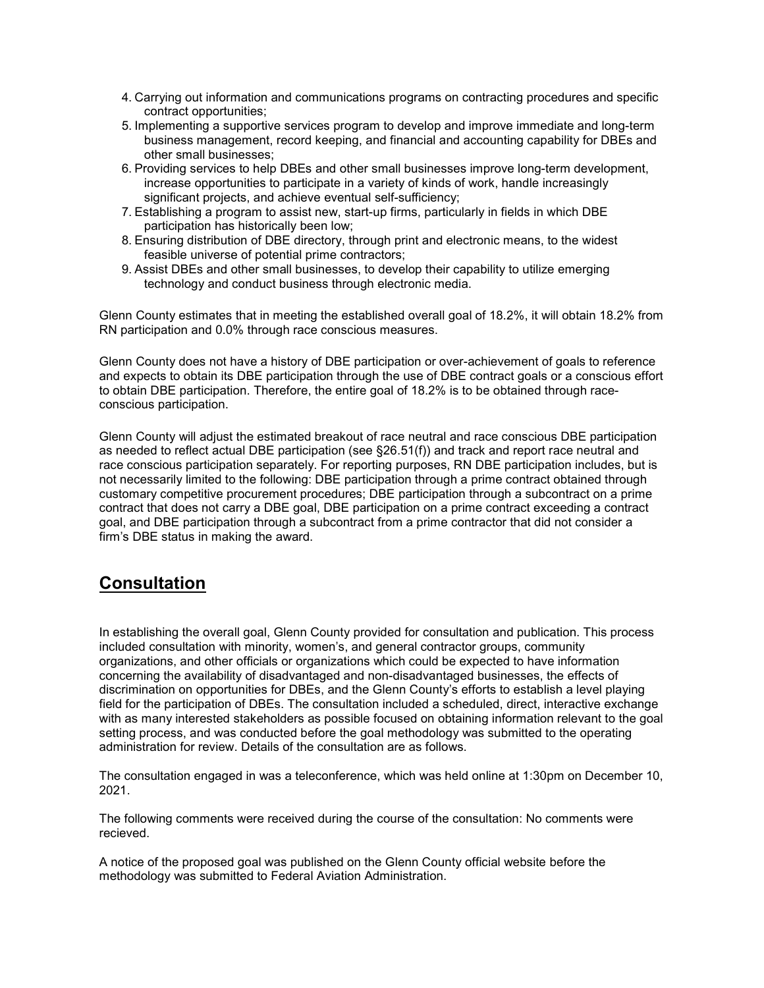- 4. Carrying out information and communications programs on contracting procedures and specific contract opportunities;
- 5. Implementing a supportive services program to develop and improve immediate and long-term business management, record keeping, and financial and accounting capability for DBEs and other small businesses;
- 6. Providing services to help DBEs and other small businesses improve long-term development, increase opportunities to participate in a variety of kinds of work, handle increasingly significant projects, and achieve eventual self-sufficiency;
- 7. Establishing a program to assist new, start-up firms, particularly in fields in which DBE participation has historically been low;
- 8. Ensuring distribution of DBE directory, through print and electronic means, to the widest feasible universe of potential prime contractors;
- 9. Assist DBEs and other small businesses, to develop their capability to utilize emerging technology and conduct business through electronic media.

Glenn County estimates that in meeting the established overall goal of 18.2%, it will obtain 18.2% from RN participation and 0.0% through race conscious measures.

Glenn County does not have a history of DBE participation or over-achievement of goals to reference and expects to obtain its DBE participation through the use of DBE contract goals or a conscious effort to obtain DBE participation. Therefore, the entire goal of 18.2% is to be obtained through raceconscious participation.

Glenn County will adjust the estimated breakout of race neutral and race conscious DBE participation as needed to reflect actual DBE participation (see §26.51(f)) and track and report race neutral and race conscious participation separately. For reporting purposes, RN DBE participation includes, but is not necessarily limited to the following: DBE participation through a prime contract obtained through customary competitive procurement procedures; DBE participation through a subcontract on a prime contract that does not carry a DBE goal, DBE participation on a prime contract exceeding a contract goal, and DBE participation through a subcontract from a prime contractor that did not consider a firm's DBE status in making the award.

## **Consultation**

In establishing the overall goal, Glenn County provided for consultation and publication. This process included consultation with minority, women's, and general contractor groups, community organizations, and other officials or organizations which could be expected to have information concerning the availability of disadvantaged and non-disadvantaged businesses, the effects of discrimination on opportunities for DBEs, and the Glenn County's efforts to establish a level playing field for the participation of DBEs. The consultation included a scheduled, direct, interactive exchange with as many interested stakeholders as possible focused on obtaining information relevant to the goal setting process, and was conducted before the goal methodology was submitted to the operating administration for review. Details of the consultation are as follows.

The consultation engaged in was a teleconference, which was held online at 1:30pm on December 10, 2021.

The following comments were received during the course of the consultation: No comments were recieved.

A notice of the proposed goal was published on the Glenn County official website before the methodology was submitted to Federal Aviation Administration.